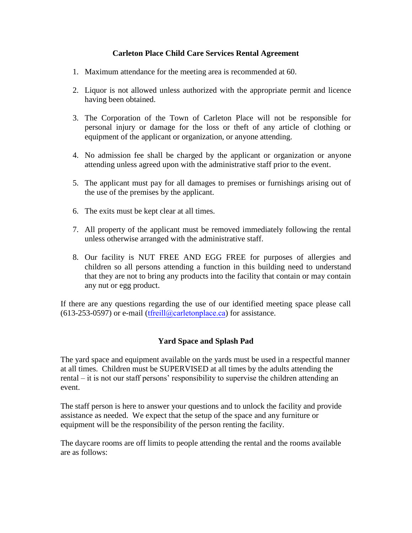## **Carleton Place Child Care Services Rental Agreement**

- 1. Maximum attendance for the meeting area is recommended at 60.
- 2. Liquor is not allowed unless authorized with the appropriate permit and licence having been obtained.
- 3. The Corporation of the Town of Carleton Place will not be responsible for personal injury or damage for the loss or theft of any article of clothing or equipment of the applicant or organization, or anyone attending.
- 4. No admission fee shall be charged by the applicant or organization or anyone attending unless agreed upon with the administrative staff prior to the event.
- 5. The applicant must pay for all damages to premises or furnishings arising out of the use of the premises by the applicant.
- 6. The exits must be kept clear at all times.
- 7. All property of the applicant must be removed immediately following the rental unless otherwise arranged with the administrative staff.
- 8. Our facility is NUT FREE AND EGG FREE for purposes of allergies and children so all persons attending a function in this building need to understand that they are not to bring any products into the facility that contain or may contain any nut or egg product.

If there are any questions regarding the use of our identified meeting space please call  $(613-253-0597)$  or e-mail ([tfreill@carletonplace.ca](mailto:jleach@carletonplace.ca)) for assistance.

## **Yard Space and Splash Pad**

The yard space and equipment available on the yards must be used in a respectful manner at all times. Children must be SUPERVISED at all times by the adults attending the rental – it is not our staff persons' responsibility to supervise the children attending an event.

The staff person is here to answer your questions and to unlock the facility and provide assistance as needed. We expect that the setup of the space and any furniture or equipment will be the responsibility of the person renting the facility.

The daycare rooms are off limits to people attending the rental and the rooms available are as follows: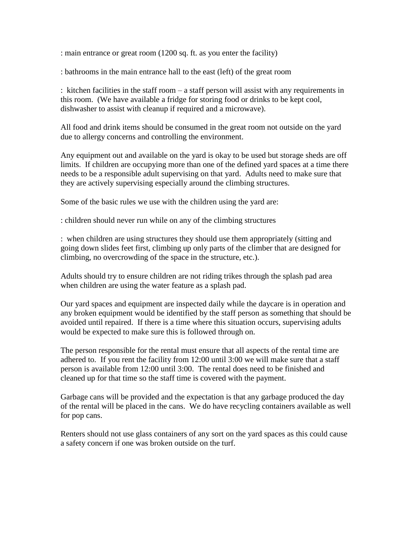: main entrance or great room (1200 sq. ft. as you enter the facility)

: bathrooms in the main entrance hall to the east (left) of the great room

: kitchen facilities in the staff room – a staff person will assist with any requirements in this room. (We have available a fridge for storing food or drinks to be kept cool, dishwasher to assist with cleanup if required and a microwave).

All food and drink items should be consumed in the great room not outside on the yard due to allergy concerns and controlling the environment.

Any equipment out and available on the yard is okay to be used but storage sheds are off limits. If children are occupying more than one of the defined yard spaces at a time there needs to be a responsible adult supervising on that yard. Adults need to make sure that they are actively supervising especially around the climbing structures.

Some of the basic rules we use with the children using the yard are:

: children should never run while on any of the climbing structures

: when children are using structures they should use them appropriately (sitting and going down slides feet first, climbing up only parts of the climber that are designed for climbing, no overcrowding of the space in the structure, etc.).

Adults should try to ensure children are not riding trikes through the splash pad area when children are using the water feature as a splash pad.

Our yard spaces and equipment are inspected daily while the daycare is in operation and any broken equipment would be identified by the staff person as something that should be avoided until repaired. If there is a time where this situation occurs, supervising adults would be expected to make sure this is followed through on.

The person responsible for the rental must ensure that all aspects of the rental time are adhered to. If you rent the facility from 12:00 until 3:00 we will make sure that a staff person is available from 12:00 until 3:00. The rental does need to be finished and cleaned up for that time so the staff time is covered with the payment.

Garbage cans will be provided and the expectation is that any garbage produced the day of the rental will be placed in the cans. We do have recycling containers available as well for pop cans.

Renters should not use glass containers of any sort on the yard spaces as this could cause a safety concern if one was broken outside on the turf.